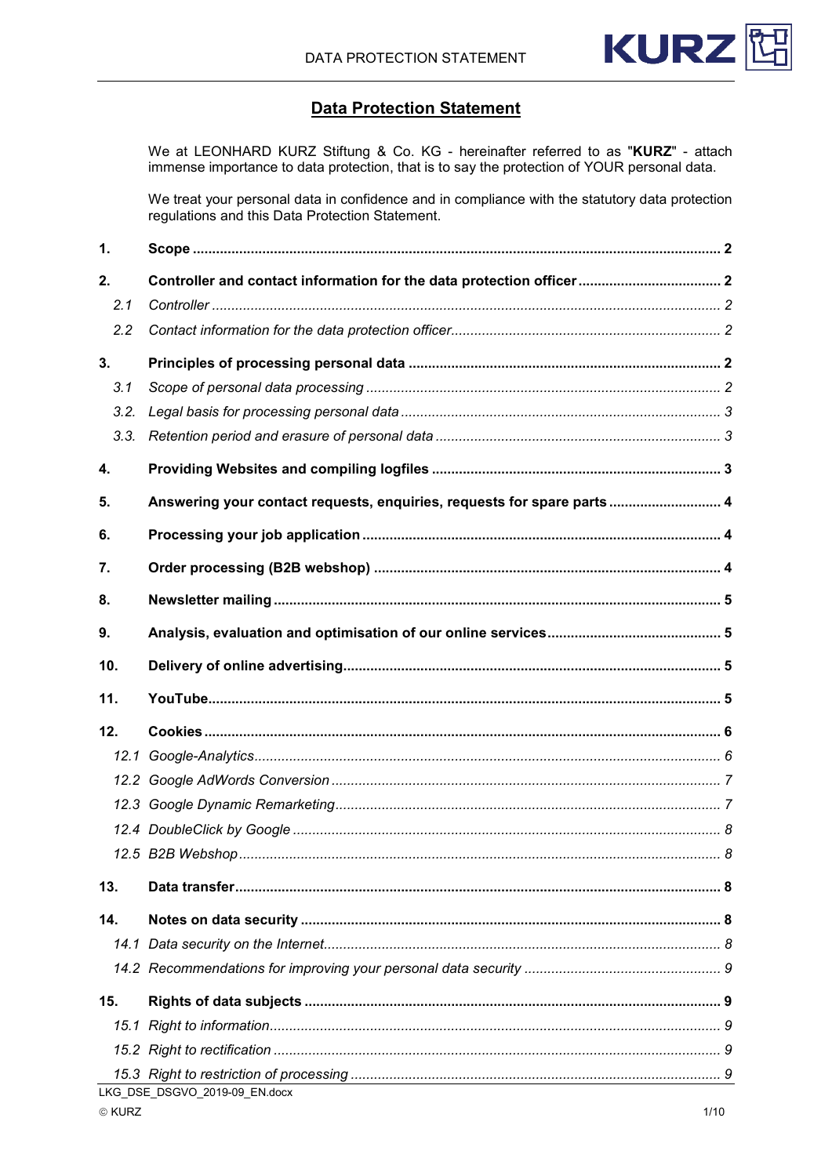

# **Data Protection Statement**

We at LEONHARD KURZ Stiftung & Co. KG - hereinafter referred to as "KURZ" - attach immense importance to data protection, that is to say the protection of YOUR personal data.

We treat your personal data in confidence and in compliance with the statutory data protection regulations and this Data Protection Statement.

| 1.   |                                                                         |  |
|------|-------------------------------------------------------------------------|--|
| 2.   | Controller and contact information for the data protection officer 2    |  |
| 2.1  |                                                                         |  |
| 2.2  |                                                                         |  |
| 3.   |                                                                         |  |
| 3.1  |                                                                         |  |
| 3.2. |                                                                         |  |
| 3.3. |                                                                         |  |
| 4.   |                                                                         |  |
| 5.   | Answering your contact requests, enquiries, requests for spare parts  4 |  |
| 6.   |                                                                         |  |
| 7.   |                                                                         |  |
| 8.   |                                                                         |  |
| 9.   |                                                                         |  |
| 10.  |                                                                         |  |
| 11.  |                                                                         |  |
| 12.  |                                                                         |  |
|      |                                                                         |  |
|      |                                                                         |  |
|      |                                                                         |  |
|      |                                                                         |  |
|      |                                                                         |  |
| 13.  |                                                                         |  |
| 14.  |                                                                         |  |
|      |                                                                         |  |
|      |                                                                         |  |
| 15.  |                                                                         |  |
|      |                                                                         |  |
|      |                                                                         |  |
|      |                                                                         |  |
|      | LKG DSE DSGVO 2019-09 EN.docx                                           |  |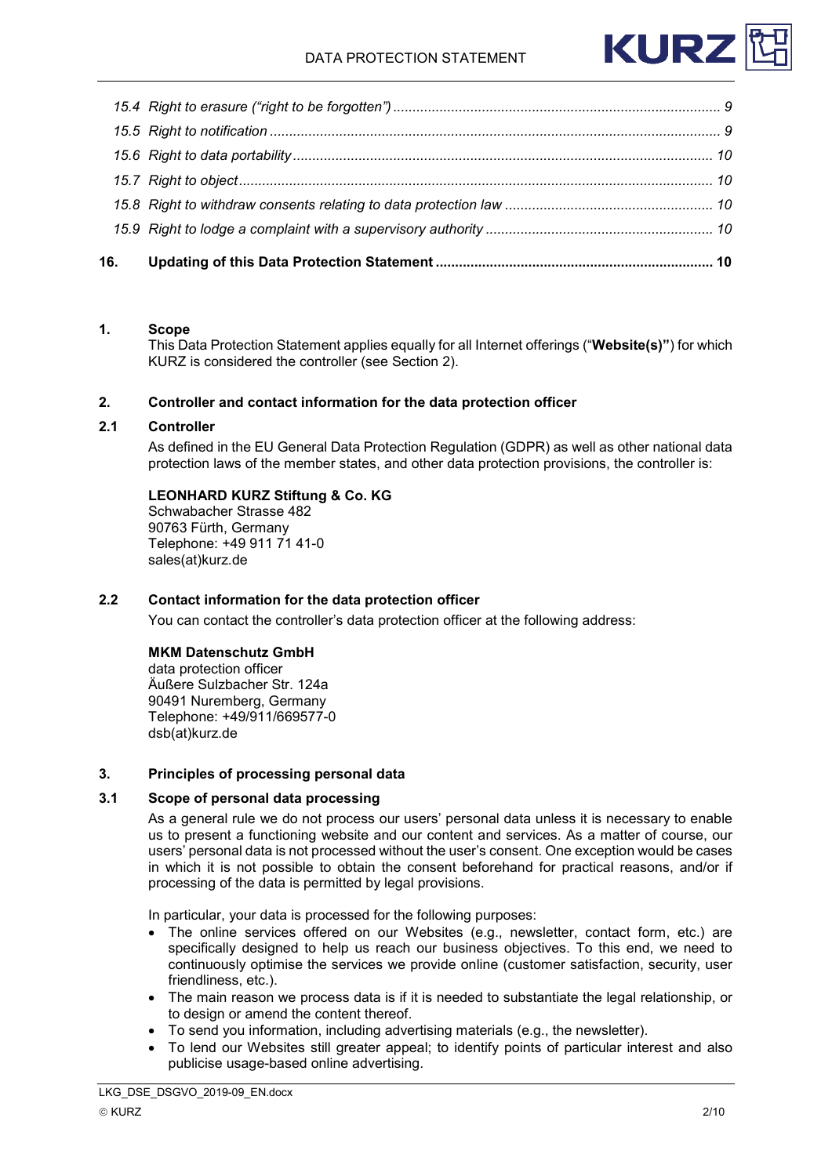

| 16. |  |
|-----|--|
|     |  |
|     |  |
|     |  |
|     |  |
|     |  |
|     |  |

# <span id="page-1-0"></span>**1. Scope**

This Data Protection Statement applies equally for all Internet offerings ("**Website(s)"**) for which KURZ is considered the controller (see Section 2).

## <span id="page-1-1"></span>**2. Controller and contact information for the data protection officer**

## <span id="page-1-2"></span>**2.1 Controller**

As defined in the EU General Data Protection Regulation (GDPR) as well as other national data protection laws of the member states, and other data protection provisions, the controller is:

# **LEONHARD KURZ Stiftung & Co. KG**

Schwabacher Strasse 482 90763 Fürth, Germany Telephone: +49 911 71 41-0 sales(at)kurz.de

## <span id="page-1-3"></span>**2.2 Contact information for the data protection officer**

You can contact the controller's data protection officer at the following address:

## **MKM Datenschutz GmbH**

data protection officer Äußere Sulzbacher Str. 124a 90491 Nuremberg, Germany Telephone: +49/911/669577-0 dsb(at)kurz.de

## <span id="page-1-4"></span>**3. Principles of processing personal data**

## <span id="page-1-5"></span>**3.1 Scope of personal data processing**

As a general rule we do not process our users' personal data unless it is necessary to enable us to present a functioning website and our content and services. As a matter of course, our users' personal data is not processed without the user's consent. One exception would be cases in which it is not possible to obtain the consent beforehand for practical reasons, and/or if processing of the data is permitted by legal provisions.

In particular, your data is processed for the following purposes:

- The online services offered on our Websites (e.g., newsletter, contact form, etc.) are specifically designed to help us reach our business objectives. To this end, we need to continuously optimise the services we provide online (customer satisfaction, security, user friendliness, etc.).
- The main reason we process data is if it is needed to substantiate the legal relationship, or to design or amend the content thereof.
- To send you information, including advertising materials (e.g., the newsletter).
- To lend our Websites still greater appeal; to identify points of particular interest and also publicise usage-based online advertising.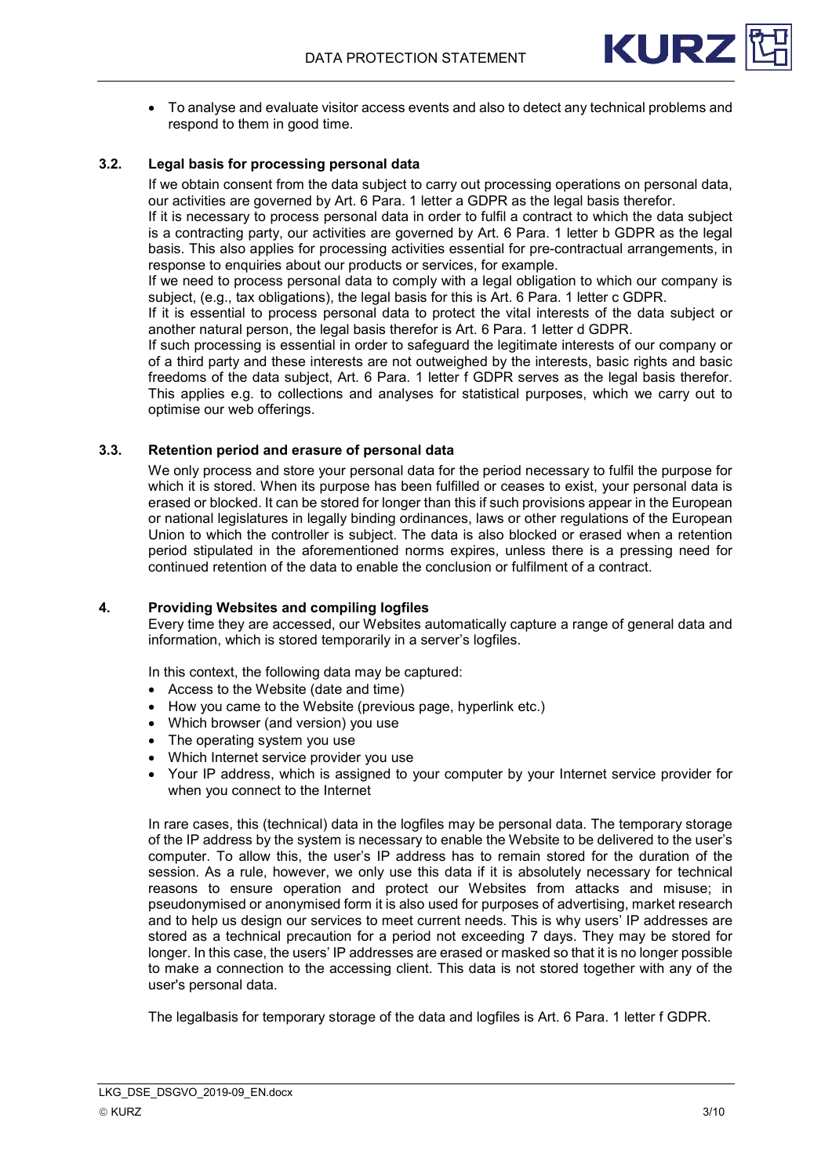

• To analyse and evaluate visitor access events and also to detect any technical problems and respond to them in good time.

# <span id="page-2-0"></span>**3.2. Legal basis for processing personal data**

If we obtain consent from the data subject to carry out processing operations on personal data, our activities are governed by Art. 6 Para. 1 letter a GDPR as the legal basis therefor.

If it is necessary to process personal data in order to fulfil a contract to which the data subject is a contracting party, our activities are governed by Art. 6 Para. 1 letter b GDPR as the legal basis. This also applies for processing activities essential for pre-contractual arrangements, in response to enquiries about our products or services, for example.

If we need to process personal data to comply with a legal obligation to which our company is subject, (e.g., tax obligations), the legal basis for this is Art. 6 Para. 1 letter c GDPR.

If it is essential to process personal data to protect the vital interests of the data subject or another natural person, the legal basis therefor is Art. 6 Para. 1 letter d GDPR.

If such processing is essential in order to safeguard the legitimate interests of our company or of a third party and these interests are not outweighed by the interests, basic rights and basic freedoms of the data subject, Art. 6 Para. 1 letter f GDPR serves as the legal basis therefor. This applies e.g. to collections and analyses for statistical purposes, which we carry out to optimise our web offerings.

# <span id="page-2-1"></span>**3.3. Retention period and erasure of personal data**

We only process and store your personal data for the period necessary to fulfil the purpose for which it is stored. When its purpose has been fulfilled or ceases to exist, your personal data is erased or blocked. It can be stored for longer than this if such provisions appear in the European or national legislatures in legally binding ordinances, laws or other regulations of the European Union to which the controller is subject. The data is also blocked or erased when a retention period stipulated in the aforementioned norms expires, unless there is a pressing need for continued retention of the data to enable the conclusion or fulfilment of a contract.

#### <span id="page-2-2"></span>**4. Providing Websites and compiling logfiles**

Every time they are accessed, our Websites automatically capture a range of general data and information, which is stored temporarily in a server's logfiles.

In this context, the following data may be captured:

- Access to the Website (date and time)
- How you came to the Website (previous page, hyperlink etc.)
- Which browser (and version) you use
- The operating system you use
- Which Internet service provider you use
- Your IP address, which is assigned to your computer by your Internet service provider for when you connect to the Internet

In rare cases, this (technical) data in the logfiles may be personal data. The temporary storage of the IP address by the system is necessary to enable the Website to be delivered to the user's computer. To allow this, the user's IP address has to remain stored for the duration of the session. As a rule, however, we only use this data if it is absolutely necessary for technical reasons to ensure operation and protect our Websites from attacks and misuse; in pseudonymised or anonymised form it is also used for purposes of advertising, market research and to help us design our services to meet current needs. This is why users' IP addresses are stored as a technical precaution for a period not exceeding 7 days. They may be stored for longer. In this case, the users' IP addresses are erased or masked so that it is no longer possible to make a connection to the accessing client. This data is not stored together with any of the user's personal data.

The legalbasis for temporary storage of the data and logfiles is Art. 6 Para. 1 letter f GDPR.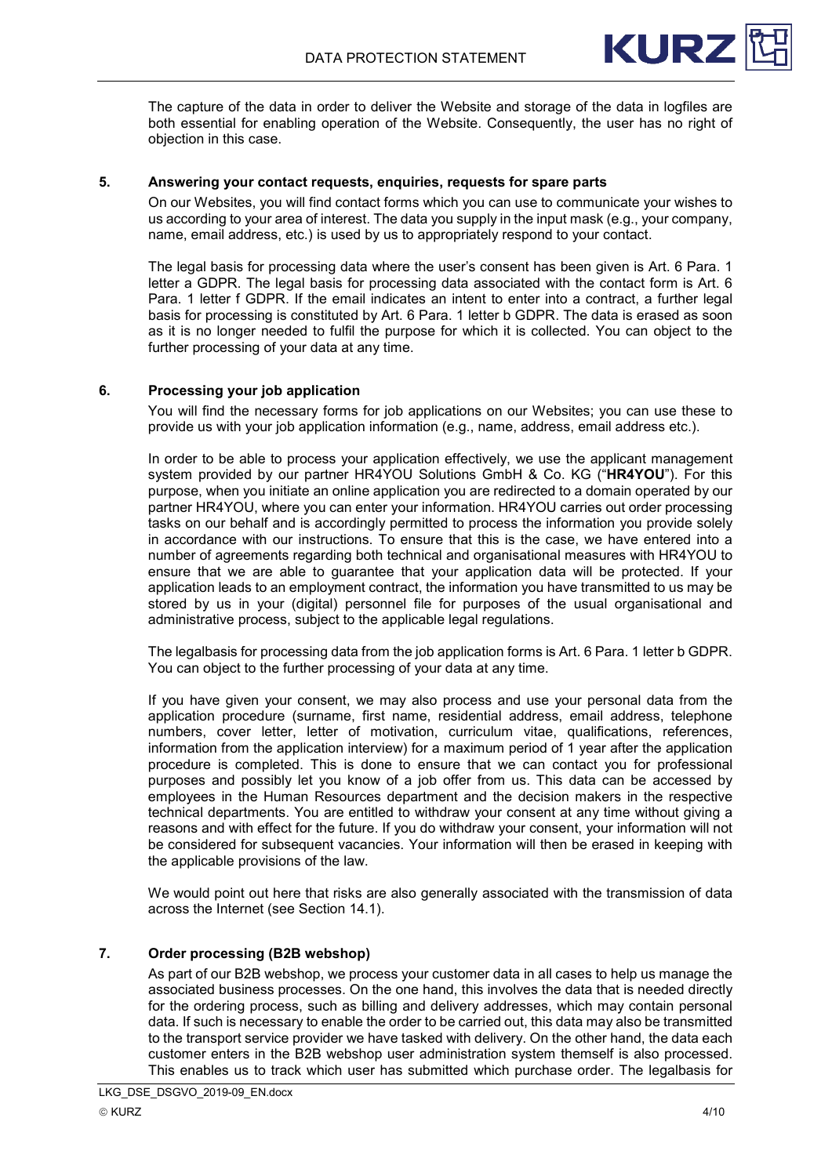

The capture of the data in order to deliver the Website and storage of the data in logfiles are both essential for enabling operation of the Website. Consequently, the user has no right of objection in this case.

# <span id="page-3-0"></span>**5. Answering your contact requests, enquiries, requests for spare parts**

On our Websites, you will find contact forms which you can use to communicate your wishes to us according to your area of interest. The data you supply in the input mask (e.g., your company, name, email address, etc.) is used by us to appropriately respond to your contact.

The legal basis for processing data where the user's consent has been given is Art. 6 Para. 1 letter a GDPR. The legal basis for processing data associated with the contact form is Art. 6 Para. 1 letter f GDPR. If the email indicates an intent to enter into a contract, a further legal basis for processing is constituted by Art. 6 Para. 1 letter b GDPR. The data is erased as soon as it is no longer needed to fulfil the purpose for which it is collected. You can object to the further processing of your data at any time.

## <span id="page-3-1"></span>**6. Processing your job application**

You will find the necessary forms for job applications on our Websites; you can use these to provide us with your job application information (e.g., name, address, email address etc.).

In order to be able to process your application effectively, we use the applicant management system provided by our partner HR4YOU Solutions GmbH & Co. KG ("**HR4YOU**"). For this purpose, when you initiate an online application you are redirected to a domain operated by our partner HR4YOU, where you can enter your information. HR4YOU carries out order processing tasks on our behalf and is accordingly permitted to process the information you provide solely in accordance with our instructions. To ensure that this is the case, we have entered into a number of agreements regarding both technical and organisational measures with HR4YOU to ensure that we are able to guarantee that your application data will be protected. If your application leads to an employment contract, the information you have transmitted to us may be stored by us in your (digital) personnel file for purposes of the usual organisational and administrative process, subject to the applicable legal regulations.

The legalbasis for processing data from the job application forms is Art. 6 Para. 1 letter b GDPR. You can object to the further processing of your data at any time.

If you have given your consent, we may also process and use your personal data from the application procedure (surname, first name, residential address, email address, telephone numbers, cover letter, letter of motivation, curriculum vitae, qualifications, references, information from the application interview) for a maximum period of 1 year after the application procedure is completed. This is done to ensure that we can contact you for professional purposes and possibly let you know of a job offer from us. This data can be accessed by employees in the Human Resources department and the decision makers in the respective technical departments. You are entitled to withdraw your consent at any time without giving a reasons and with effect for the future. If you do withdraw your consent, your information will not be considered for subsequent vacancies. Your information will then be erased in keeping with the applicable provisions of the law.

We would point out here that risks are also generally associated with the transmission of data across the Internet (see Section 14.1).

## <span id="page-3-2"></span>**7. Order processing (B2B webshop)**

As part of our B2B webshop, we process your customer data in all cases to help us manage the associated business processes. On the one hand, this involves the data that is needed directly for the ordering process, such as billing and delivery addresses, which may contain personal data. If such is necessary to enable the order to be carried out, this data may also be transmitted to the transport service provider we have tasked with delivery. On the other hand, the data each customer enters in the B2B webshop user administration system themself is also processed. This enables us to track which user has submitted which purchase order. The legalbasis for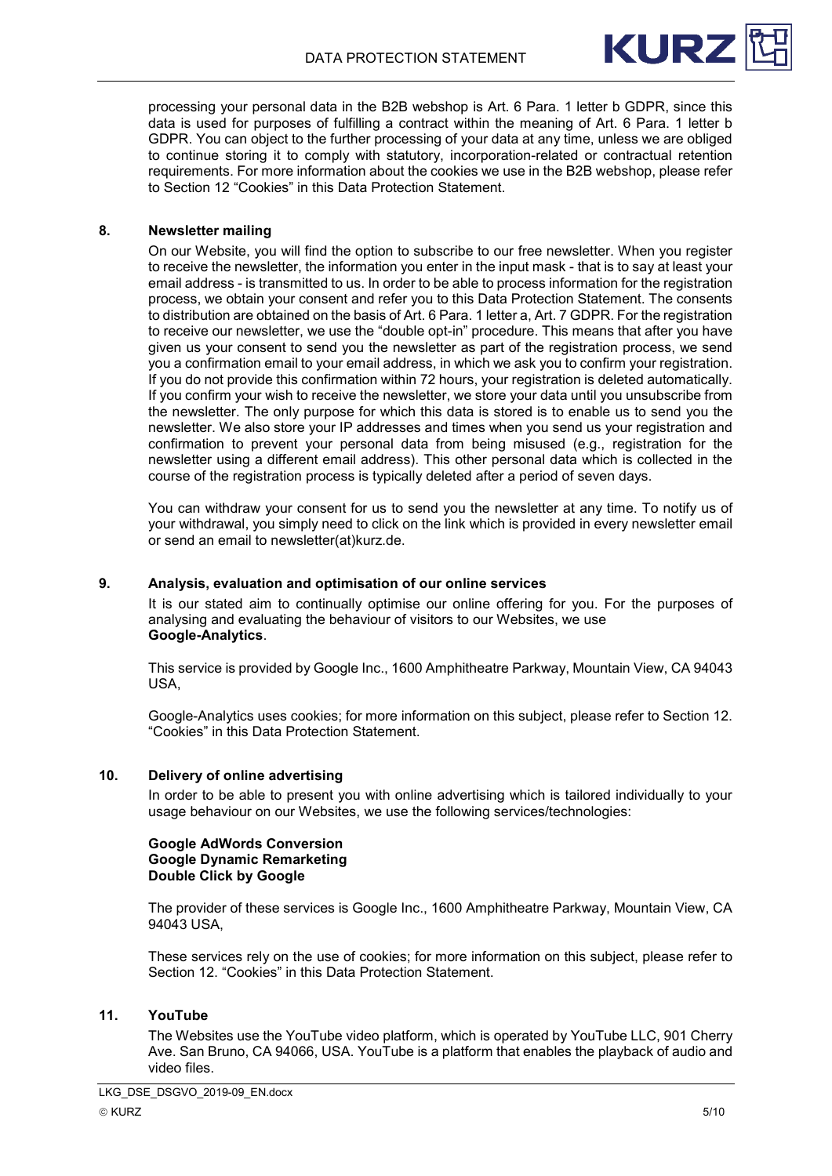

processing your personal data in the B2B webshop is Art. 6 Para. 1 letter b GDPR, since this data is used for purposes of fulfilling a contract within the meaning of Art. 6 Para. 1 letter b GDPR. You can object to the further processing of your data at any time, unless we are obliged to continue storing it to comply with statutory, incorporation-related or contractual retention requirements. For more information about the cookies we use in the B2B webshop, please refer to Section 12 "Cookies" in this Data Protection Statement.

## <span id="page-4-0"></span>**8. Newsletter mailing**

On our Website, you will find the option to subscribe to our free newsletter. When you register to receive the newsletter, the information you enter in the input mask - that is to say at least your email address - is transmitted to us. In order to be able to process information for the registration process, we obtain your consent and refer you to this Data Protection Statement. The consents to distribution are obtained on the basis of Art. 6 Para. 1 letter a, Art. 7 GDPR. For the registration to receive our newsletter, we use the "double opt-in" procedure. This means that after you have given us your consent to send you the newsletter as part of the registration process, we send you a confirmation email to your email address, in which we ask you to confirm your registration. If you do not provide this confirmation within 72 hours, your registration is deleted automatically. If you confirm your wish to receive the newsletter, we store your data until you unsubscribe from the newsletter. The only purpose for which this data is stored is to enable us to send you the newsletter. We also store your IP addresses and times when you send us your registration and confirmation to prevent your personal data from being misused (e.g., registration for the newsletter using a different email address). This other personal data which is collected in the course of the registration process is typically deleted after a period of seven days.

You can withdraw your consent for us to send you the newsletter at any time. To notify us of your withdrawal, you simply need to click on the link which is provided in every newsletter email or send an email to newsletter(at)kurz.de.

#### <span id="page-4-1"></span>**9. Analysis, evaluation and optimisation of our online services**

It is our stated aim to continually optimise our online offering for you. For the purposes of analysing and evaluating the behaviour of visitors to our Websites, we use **Google-Analytics**.

This service is provided by Google Inc., 1600 Amphitheatre Parkway, Mountain View, CA 94043 USA,

Google-Analytics uses cookies; for more information on this subject, please refer to Section 12. "Cookies" in this Data Protection Statement.

## <span id="page-4-2"></span>**10. Delivery of online advertising**

In order to be able to present you with online advertising which is tailored individually to your usage behaviour on our Websites, we use the following services/technologies:

#### **Google AdWords Conversion Google Dynamic Remarketing Double Click by Google**

The provider of these services is Google Inc., 1600 Amphitheatre Parkway, Mountain View, CA 94043 USA,

These services rely on the use of cookies; for more information on this subject, please refer to Section 12. "Cookies" in this Data Protection Statement.

#### <span id="page-4-3"></span>**11. YouTube**

The Websites use the YouTube video platform, which is operated by YouTube LLC, 901 Cherry Ave. San Bruno, CA 94066, USA. YouTube is a platform that enables the playback of audio and video files.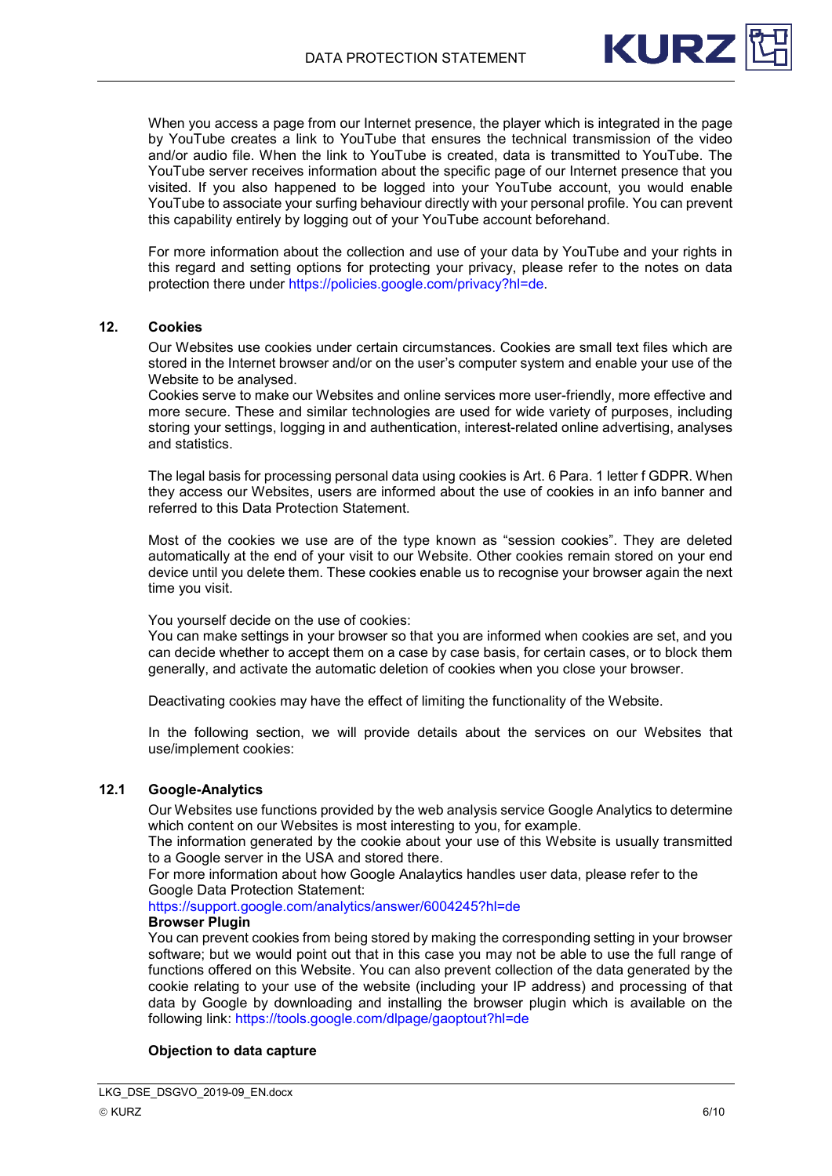

When you access a page from our Internet presence, the player which is integrated in the page by YouTube creates a link to YouTube that ensures the technical transmission of the video and/or audio file. When the link to YouTube is created, data is transmitted to YouTube. The YouTube server receives information about the specific page of our Internet presence that you visited. If you also happened to be logged into your YouTube account, you would enable YouTube to associate your surfing behaviour directly with your personal profile. You can prevent this capability entirely by logging out of your YouTube account beforehand.

For more information about the collection and use of your data by YouTube and your rights in this regard and setting options for protecting your privacy, please refer to the notes on data protection there under [https://policies.google.com/privacy?hl=de.](https://policies.google.com/privacy?hl=de)

## <span id="page-5-0"></span>**12. Cookies**

Our Websites use cookies under certain circumstances. Cookies are small text files which are stored in the Internet browser and/or on the user's computer system and enable your use of the Website to be analysed.

Cookies serve to make our Websites and online services more user-friendly, more effective and more secure. These and similar technologies are used for wide variety of purposes, including storing your settings, logging in and authentication, interest-related online advertising, analyses and statistics.

The legal basis for processing personal data using cookies is Art. 6 Para. 1 letter f GDPR. When they access our Websites, users are informed about the use of cookies in an info banner and referred to this Data Protection Statement.

Most of the cookies we use are of the type known as "session cookies". They are deleted automatically at the end of your visit to our Website. Other cookies remain stored on your end device until you delete them. These cookies enable us to recognise your browser again the next time you visit.

You yourself decide on the use of cookies:

You can make settings in your browser so that you are informed when cookies are set, and you can decide whether to accept them on a case by case basis, for certain cases, or to block them generally, and activate the automatic deletion of cookies when you close your browser.

Deactivating cookies may have the effect of limiting the functionality of the Website.

In the following section, we will provide details about the services on our Websites that use/implement cookies:

# <span id="page-5-1"></span>**12.1 Google-Analytics**

Our Websites use functions provided by the web analysis service Google Analytics to determine which content on our Websites is most interesting to you, for example.

The information generated by the cookie about your use of this Website is usually transmitted to a Google server in the USA and stored there.

For more information about how Google Analaytics handles user data, please refer to the Google Data Protection Statement:

<https://support.google.com/analytics/answer/6004245?hl=de>

## **Browser Plugin**

You can prevent cookies from being stored by making the corresponding setting in your browser software; but we would point out that in this case you may not be able to use the full range of functions offered on this Website. You can also prevent collection of the data generated by the cookie relating to your use of the website (including your IP address) and processing of that data by Google by downloading and installing the browser plugin which is available on the following link:<https://tools.google.com/dlpage/gaoptout?hl=de>

## **Objection to data capture**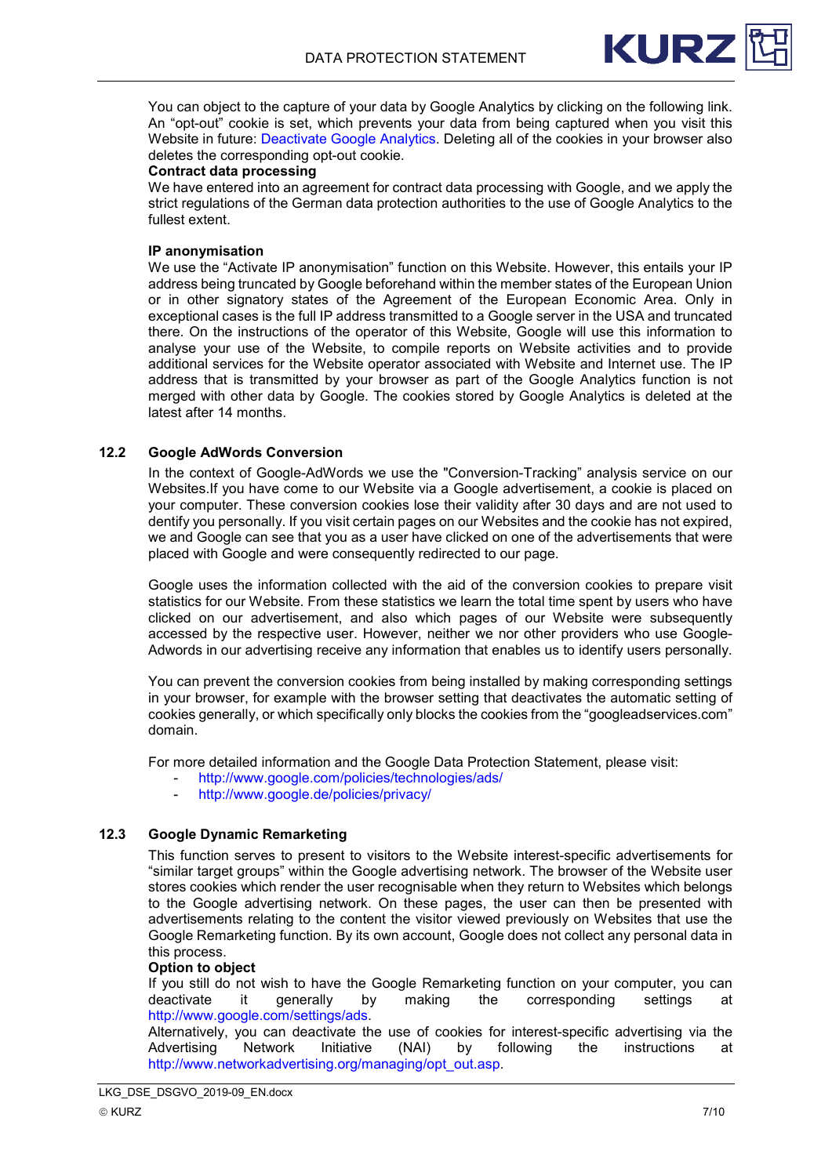

You can object to the capture of your data by Google Analytics by clicking on the following link. An "opt-out" cookie is set, which prevents your data from being captured when you visit this Website in future: [Deactivate Google Analytics.](javascript:gaOptout();) Deleting all of the cookies in your browser also deletes the corresponding opt-out cookie.

#### **Contract data processing**

We have entered into an agreement for contract data processing with Google, and we apply the strict regulations of the German data protection authorities to the use of Google Analytics to the fullest extent.

#### **IP anonymisation**

We use the "Activate IP anonymisation" function on this Website. However, this entails your IP address being truncated by Google beforehand within the member states of the European Union or in other signatory states of the Agreement of the European Economic Area. Only in exceptional cases is the full IP address transmitted to a Google server in the USA and truncated there. On the instructions of the operator of this Website, Google will use this information to analyse your use of the Website, to compile reports on Website activities and to provide additional services for the Website operator associated with Website and Internet use. The IP address that is transmitted by your browser as part of the Google Analytics function is not merged with other data by Google. The cookies stored by Google Analytics is deleted at the latest after 14 months.

## <span id="page-6-0"></span>**12.2 Google AdWords Conversion**

In the context of Google-AdWords we use the "Conversion-Tracking" analysis service on our Websites.If you have come to our Website via a Google advertisement, a cookie is placed on your computer. These conversion cookies lose their validity after 30 days and are not used to dentify you personally. If you visit certain pages on our Websites and the cookie has not expired, we and Google can see that you as a user have clicked on one of the advertisements that were placed with Google and were consequently redirected to our page.

Google uses the information collected with the aid of the conversion cookies to prepare visit statistics for our Website. From these statistics we learn the total time spent by users who have clicked on our advertisement, and also which pages of our Website were subsequently accessed by the respective user. However, neither we nor other providers who use Google-Adwords in our advertising receive any information that enables us to identify users personally.

You can prevent the conversion cookies from being installed by making corresponding settings in your browser, for example with the browser setting that deactivates the automatic setting of cookies generally, or which specifically only blocks the cookies from the "googleadservices.com" domain.

For more detailed information and the Google Data Protection Statement, please visit:

- <http://www.google.com/policies/technologies/ads/>
- <http://www.google.de/policies/privacy/>

## <span id="page-6-1"></span>**12.3 Google Dynamic Remarketing**

This function serves to present to visitors to the Website interest-specific advertisements for "similar target groups" within the Google advertising network. The browser of the Website user stores cookies which render the user recognisable when they return to Websites which belongs to the Google advertising network. On these pages, the user can then be presented with advertisements relating to the content the visitor viewed previously on Websites that use the Google Remarketing function. By its own account, Google does not collect any personal data in this process.

#### **Option to object**

If you still do not wish to have the Google Remarketing function on your computer, you can<br>deactivate it or denerally by making the corresponding settings at corresponding settings at [http://www.google.com/settings/ads.](http://www.google.com/settings/ads)

Alternatively, you can deactivate the use of cookies for interest-specific advertising via the<br>Advertising Network Initiative (NAI) by following the instructions at Advertising Network Initiative (NAI) by following the instructions at [http://www.networkadvertising.org/managing/opt\\_out.asp.](http://www.networkadvertising.org/managing/opt_out.asp)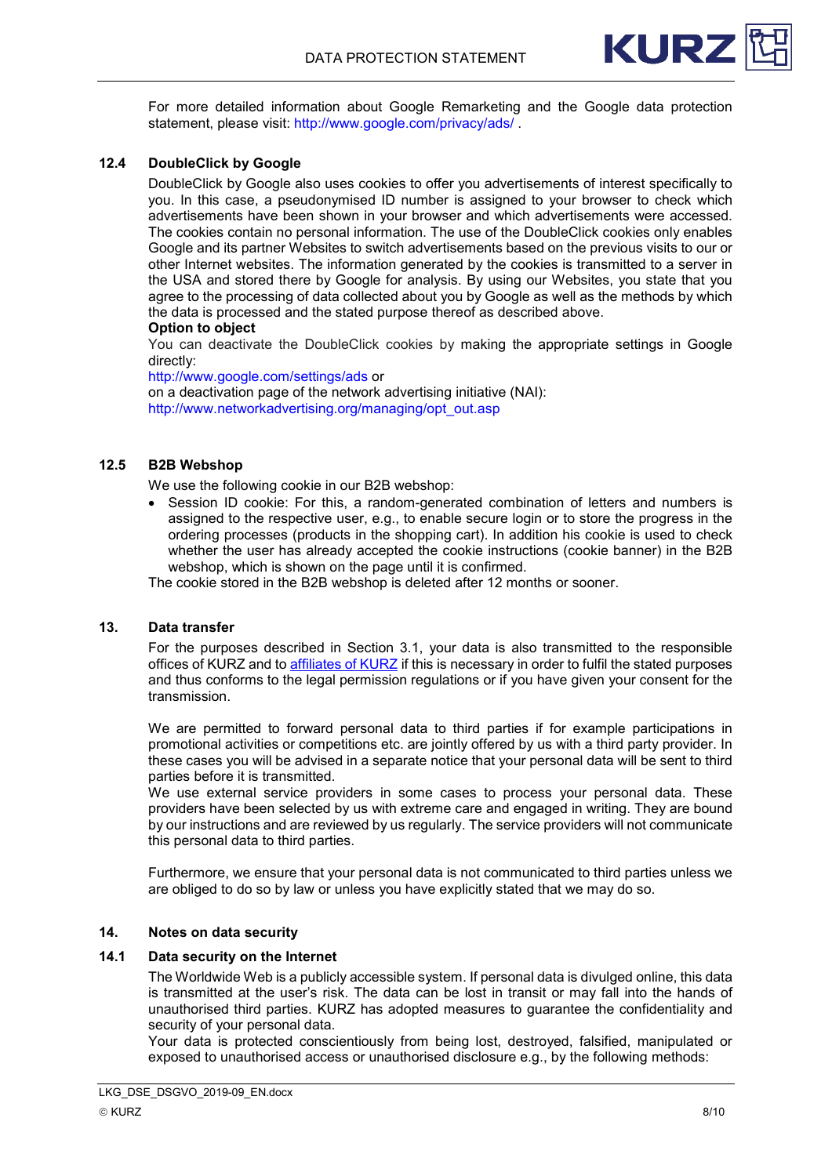

For more detailed information about Google Remarketing and the Google data protection statement, please visit:<http://www.google.com/privacy/ads/> .

# <span id="page-7-0"></span>**12.4 DoubleClick by Google**

DoubleClick by Google also uses cookies to offer you advertisements of interest specifically to you. In this case, a pseudonymised ID number is assigned to your browser to check which advertisements have been shown in your browser and which advertisements were accessed. The cookies contain no personal information. The use of the DoubleClick cookies only enables Google and its partner Websites to switch advertisements based on the previous visits to our or other Internet websites. The information generated by the cookies is transmitted to a server in the USA and stored there by Google for analysis. By using our Websites, you state that you agree to the processing of data collected about you by Google as well as the methods by which the data is processed and the stated purpose thereof as described above.

#### **Option to object**

You can deactivate the DoubleClick cookies by making the appropriate settings in Google directly:

<http://www.google.com/settings/ads> or

on a deactivation page of the network advertising initiative (NAI): [http://www.networkadvertising.org/managing/opt\\_out.asp](http://www.networkadvertising.org/managing/opt_out.asp)

# <span id="page-7-1"></span>**12.5 B2B Webshop**

We use the following cookie in our B2B webshop:

• Session ID cookie: For this, a random-generated combination of letters and numbers is assigned to the respective user, e.g., to enable secure login or to store the progress in the ordering processes (products in the shopping cart). In addition his cookie is used to check whether the user has already accepted the cookie instructions (cookie banner) in the B2B webshop, which is shown on the page until it is confirmed.

The cookie stored in the B2B webshop is deleted after 12 months or sooner.

#### <span id="page-7-2"></span>**13. Data transfer**

For the purposes described in Section 3.1, your data is also transmitted to the responsible offices of KURZ and to [affiliates of KURZ](https://www.leonhard-kurz.com/company/locationsworldwide/) if this is necessary in order to fulfil the stated purposes and thus conforms to the legal permission regulations or if you have given your consent for the transmission.

We are permitted to forward personal data to third parties if for example participations in promotional activities or competitions etc. are jointly offered by us with a third party provider. In these cases you will be advised in a separate notice that your personal data will be sent to third parties before it is transmitted.

We use external service providers in some cases to process your personal data. These providers have been selected by us with extreme care and engaged in writing. They are bound by our instructions and are reviewed by us regularly. The service providers will not communicate this personal data to third parties.

Furthermore, we ensure that your personal data is not communicated to third parties unless we are obliged to do so by law or unless you have explicitly stated that we may do so.

#### <span id="page-7-3"></span>**14. Notes on data security**

# <span id="page-7-4"></span>**14.1 Data security on the Internet**

The Worldwide Web is a publicly accessible system. If personal data is divulged online, this data is transmitted at the user's risk. The data can be lost in transit or may fall into the hands of unauthorised third parties. KURZ has adopted measures to guarantee the confidentiality and security of your personal data.

Your data is protected conscientiously from being lost, destroyed, falsified, manipulated or exposed to unauthorised access or unauthorised disclosure e.g., by the following methods: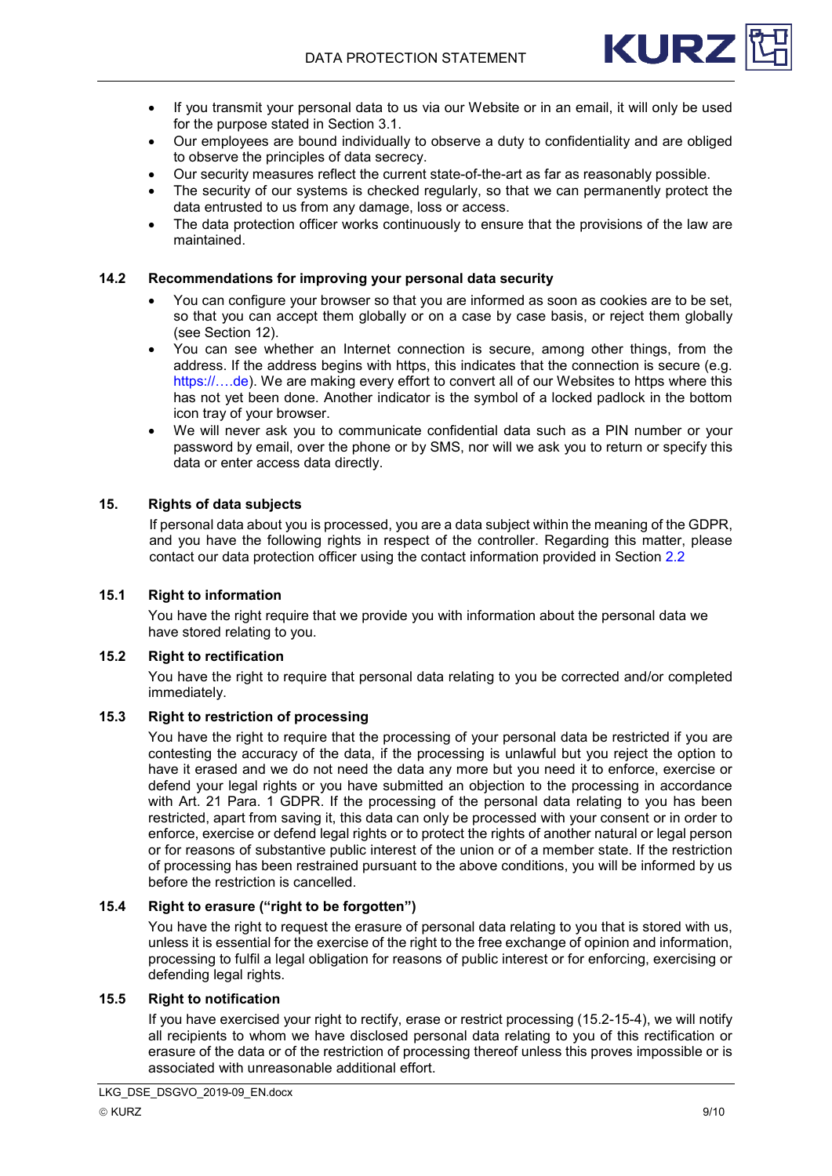

- If you transmit your personal data to us via our Website or in an email, it will only be used for the purpose stated in Section 3.1.
- Our employees are bound individually to observe a duty to confidentiality and are obliged to observe the principles of data secrecy.
- Our security measures reflect the current state-of-the-art as far as reasonably possible.
- The security of our systems is checked regularly, so that we can permanently protect the data entrusted to us from any damage, loss or access.
- The data protection officer works continuously to ensure that the provisions of the law are maintained.

#### <span id="page-8-0"></span>**14.2 Recommendations for improving your personal data security**

- You can configure your browser so that you are informed as soon as cookies are to be set, so that you can accept them globally or on a case by case basis, or reject them globally (see Section 12).
- You can see whether an Internet connection is secure, among other things, from the address. If the address begins with https, this indicates that the connection is secure (e.g. https://....de). We are making every effort to convert all of our Websites to https where this has not yet been done. Another indicator is the symbol of a locked padlock in the bottom icon tray of your browser.
- We will never ask you to communicate confidential data such as a PIN number or your password by email, over the phone or by SMS, nor will we ask you to return or specify this data or enter access data directly.

#### <span id="page-8-1"></span>**15. Rights of data subjects**

If personal data about you is processed, you are a data subject within the meaning of the GDPR, and you have the following rights in respect of the controller. Regarding this matter, please contact our data protection officer using the contact information provided in Section [2.2](#page-1-3)

## <span id="page-8-2"></span>**15.1 Right to information**

You have the right require that we provide you with information about the personal data we have stored relating to you.

# <span id="page-8-3"></span>**15.2 Right to rectification**

You have the right to require that personal data relating to you be corrected and/or completed immediately.

#### <span id="page-8-4"></span>**15.3 Right to restriction of processing**

You have the right to require that the processing of your personal data be restricted if you are contesting the accuracy of the data, if the processing is unlawful but you reject the option to have it erased and we do not need the data any more but you need it to enforce, exercise or defend your legal rights or you have submitted an objection to the processing in accordance with Art. 21 Para. 1 GDPR. If the processing of the personal data relating to you has been restricted, apart from saving it, this data can only be processed with your consent or in order to enforce, exercise or defend legal rights or to protect the rights of another natural or legal person or for reasons of substantive public interest of the union or of a member state. If the restriction of processing has been restrained pursuant to the above conditions, you will be informed by us before the restriction is cancelled.

#### <span id="page-8-5"></span>**15.4 Right to erasure ("right to be forgotten")**

You have the right to request the erasure of personal data relating to you that is stored with us, unless it is essential for the exercise of the right to the free exchange of opinion and information, processing to fulfil a legal obligation for reasons of public interest or for enforcing, exercising or defending legal rights.

## <span id="page-8-6"></span>**15.5 Right to notification**

If you have exercised your right to rectify, erase or restrict processing (15.2-15-4), we will notify all recipients to whom we have disclosed personal data relating to you of this rectification or erasure of the data or of the restriction of processing thereof unless this proves impossible or is associated with unreasonable additional effort.